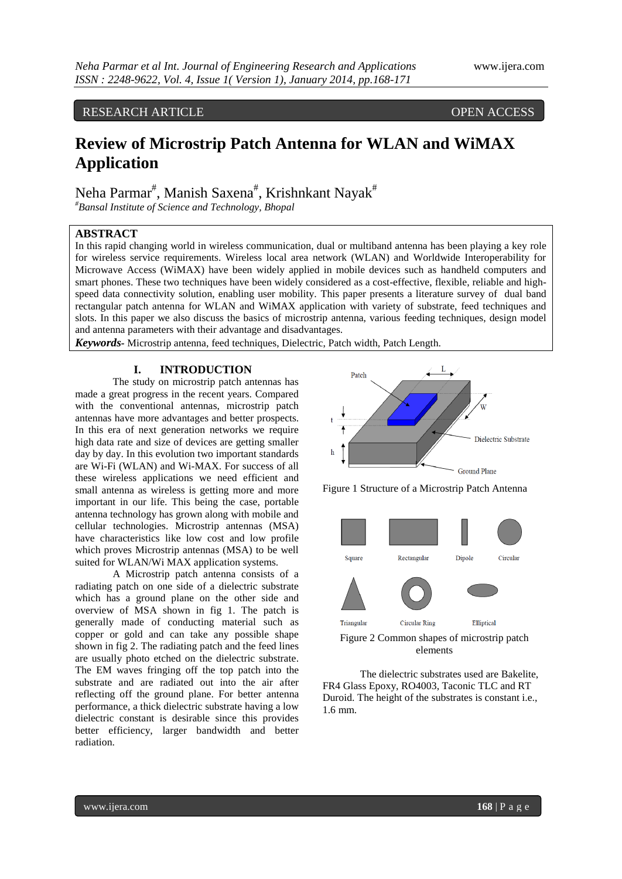# RESEARCH ARTICLE OPEN ACCESS

# **Review of Microstrip Patch Antenna for WLAN and WiMAX Application**

Neha Parmar<sup>#</sup>, Manish Saxena<sup>#</sup>, Krishnkant Nayak<sup>#</sup>

*#Bansal Institute of Science and Technology, Bhopal*

# **ABSTRACT**

In this rapid changing world in wireless communication, dual or multiband antenna has been playing a key role for wireless service requirements. Wireless local area network (WLAN) and Worldwide Interoperability for Microwave Access (WiMAX) have been widely applied in mobile devices such as handheld computers and smart phones. These two techniques have been widely considered as a cost-effective, flexible, reliable and highspeed data connectivity solution, enabling user mobility. This paper presents a literature survey of dual band rectangular patch antenna for WLAN and WiMAX application with variety of substrate, feed techniques and slots. In this paper we also discuss the basics of microstrip antenna, various feeding techniques, design model and antenna parameters with their advantage and disadvantages.

*Keywords-* Microstrip antenna, feed techniques, Dielectric, Patch width, Patch Length.

#### **I. INTRODUCTION**

The study on microstrip patch antennas has made a great progress in the recent years. Compared with the conventional antennas, microstrip patch antennas have more advantages and better prospects. In this era of next generation networks we require high data rate and size of devices are getting smaller day by day. In this evolution two important standards are Wi-Fi (WLAN) and Wi-MAX. For success of all these wireless applications we need efficient and small antenna as wireless is getting more and more important in our life. This being the case, portable antenna technology has grown along with mobile and cellular technologies. Microstrip antennas (MSA) have characteristics like low cost and low profile which proves Microstrip antennas (MSA) to be well suited for WLAN/Wi MAX application systems.

A Microstrip patch antenna consists of a radiating patch on one side of a dielectric substrate which has a ground plane on the other side and overview of MSA shown in fig 1. The patch is generally made of conducting material such as copper or gold and can take any possible shape shown in fig 2. The radiating patch and the feed lines are usually photo etched on the dielectric substrate. The EM waves fringing off the top patch into the substrate and are radiated out into the air after reflecting off the ground plane. For better antenna performance, a thick dielectric substrate having a low dielectric constant is desirable since this provides better efficiency, larger bandwidth and better radiation.



Figure 1 Structure of a Microstrip Patch Antenna



elements

The dielectric substrates used are Bakelite, FR4 Glass Epoxy, RO4003, Taconic TLC and RT Duroid. The height of the substrates is constant i.e., 1.6 mm.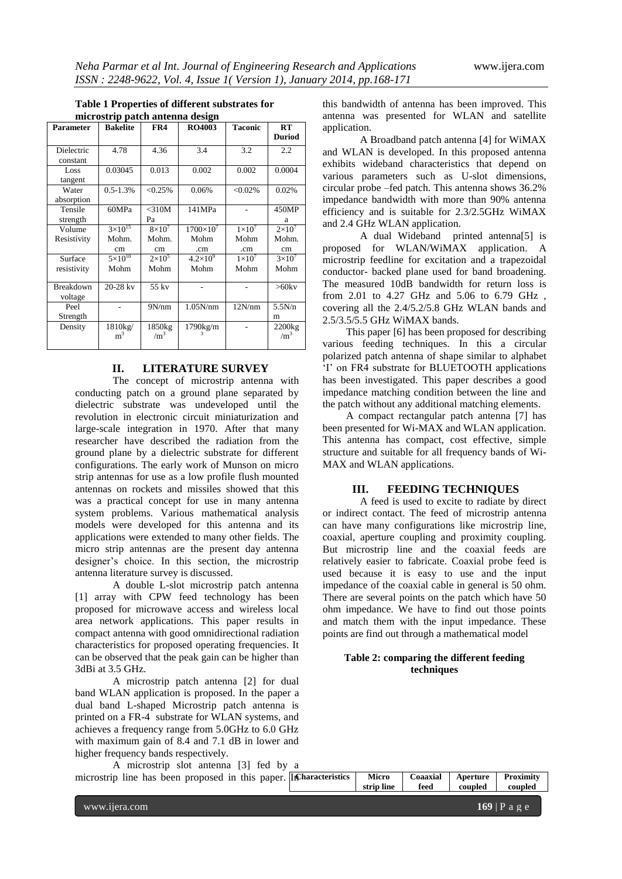| <b>Parameter</b> | <b>Bakelite</b>    | FR4           | <b>RO4003</b>      | <b>Taconic</b> | RT                   |
|------------------|--------------------|---------------|--------------------|----------------|----------------------|
|                  |                    |               |                    |                | <b>Duriod</b>        |
| Dielectric       | 4.78               | 4.36          | 3.4                | 3.2            | 2.2                  |
| constant         |                    |               |                    |                |                      |
| Loss             | 0.03045            | 0.013         | 0.002              | 0.002          | 0.0004               |
| tangent          |                    |               |                    |                |                      |
| Water            | $0.5 - 1.3%$       | $< 0.25\%$    | 0.06%              | $< 0.02\%$     | 0.02%                |
| absorption       |                    |               |                    |                |                      |
| Tensile          | 60MPa              | $<$ 310M      | 141MPa             |                | 450MP                |
| strength         |                    | Pa            |                    |                | a                    |
| Volume           | $3 \times 10^{15}$ | $8\times10^7$ | $1700\times10^{7}$ | $1\times10^7$  | $2\times10^7$        |
| Resistivity      | Mohm.              | Mohm.         | Mohm               | Mohm           | Mohm.                |
|                  | cm                 | cm            | .cm                | .cm            | cm                   |
| Surface          | $5 \times 10^{10}$ | $2\times10^5$ | $4.2\times10^{9}$  | $1\times10^7$  | $3\times10^7$        |
| resistivity      | Mohm               | Mohm          | Mohm               | Mohm           | Mohm                 |
|                  |                    |               |                    |                |                      |
| Breakdown        | $20 - 28$ kv       | 55 kv         |                    |                | $>60$ kv             |
| voltage          |                    |               |                    |                |                      |
| Peel             |                    | 9N/nm         | 1.05N/nm           | 12N/nm         | 5.5N/n               |
| Strength         |                    |               |                    |                | m                    |
| Density          | 1810kg/            | 1850kg        | 1790kg/m           |                | $2200$ <sub>kg</sub> |
|                  | m <sup>3</sup>     | $\rm /m^3$    |                    |                | $\rm /m^3$           |
|                  |                    |               |                    |                |                      |

#### **Table 1 Properties of different substrates for microstrip patch antenna design**

#### **II. LITERATURE SURVEY**

The concept of microstrip antenna with conducting patch on a ground plane separated by dielectric substrate was undeveloped until the revolution in electronic circuit miniaturization and large-scale integration in 1970. After that many researcher have described the radiation from the ground plane by a dielectric substrate for different configurations. The early work of Munson on micro strip antennas for use as a low profile flush mounted antennas on rockets and missiles showed that this was a practical concept for use in many antenna system problems. Various mathematical analysis models were developed for this antenna and its applications were extended to many other fields. The micro strip antennas are the present day antenna designer"s choice. In this section, the microstrip antenna literature survey is discussed.

A double L-slot microstrip patch antenna [1] array with CPW feed technology has been proposed for microwave access and wireless local area network applications. This paper results in compact antenna with good omnidirectional radiation characteristics for proposed operating frequencies. It can be observed that the peak gain can be higher than 3dBi at 3.5 GHz.

A microstrip patch antenna [2] for dual band WLAN application is proposed. In the paper a dual band L-shaped Microstrip patch antenna is printed on a FR-4 substrate for WLAN systems, and achieves a frequency range from 5.0GHz to 6.0 GHz with maximum gain of 8.4 and 7.1 dB in lower and higher frequency bands respectively.

 $\frac{1}{\text{microstrin}}$ 

this bandwidth of antenna has been improved. This antenna was presented for WLAN and satellite application.

A Broadband patch antenna [4] for WiMAX and WLAN is developed. In this proposed antenna exhibits wideband characteristics that depend on various parameters such as U-slot dimensions, circular probe –fed patch. This antenna shows 36.2% impedance bandwidth with more than 90% antenna efficiency and is suitable for 2.3/2.5GHz WiMAX and 2.4 GHz WLAN application.

A dual Wideband printed antenna[5] is proposed for WLAN/WiMAX application. A microstrip feedline for excitation and a trapezoidal conductor- backed plane used for band broadening. The measured 10dB bandwidth for return loss is from 2.01 to 4.27 GHz and 5.06 to 6.79 GHz , covering all the 2.4/5.2/5.8 GHz WLAN bands and 2.5/3.5/5.5 GHz WiMAX bands.

 This paper [6] has been proposed for describing various feeding techniques. In this a circular polarized patch antenna of shape similar to alphabet "I" on FR4 substrate for BLUETOOTH applications has been investigated. This paper describes a good impedance matching condition between the line and the patch without any additional matching elements.

 A compact rectangular patch antenna [7] has been presented for Wi-MAX and WLAN application. This antenna has compact, cost effective, simple structure and suitable for all frequency bands of Wi-MAX and WLAN applications.

#### **III. FEEDING TECHNIQUES**

A feed is used to excite to radiate by direct or indirect contact. The feed of microstrip antenna can have many configurations like microstrip line, coaxial, aperture coupling and proximity coupling. But microstrip line and the coaxial feeds are relatively easier to fabricate. Coaxial probe feed is used because it is easy to use and the input impedance of the coaxial cable in general is 50 ohm. There are several points on the patch which have 50 ohm impedance. We have to find out those points and match them with the input impedance. These points are find out through a mathematical model

#### **Table 2: comparing the different feeding techniques**

| A microsurio sión antenna (3) feu ov a                              |              |                                         |                |         |
|---------------------------------------------------------------------|--------------|-----------------------------------------|----------------|---------|
| microstrip line has been proposed in this paper. In Characteristics |              | Micro   Coaaxial   Aperture   Proximity |                |         |
|                                                                     | strip line l |                                         | feed coupled l | coupled |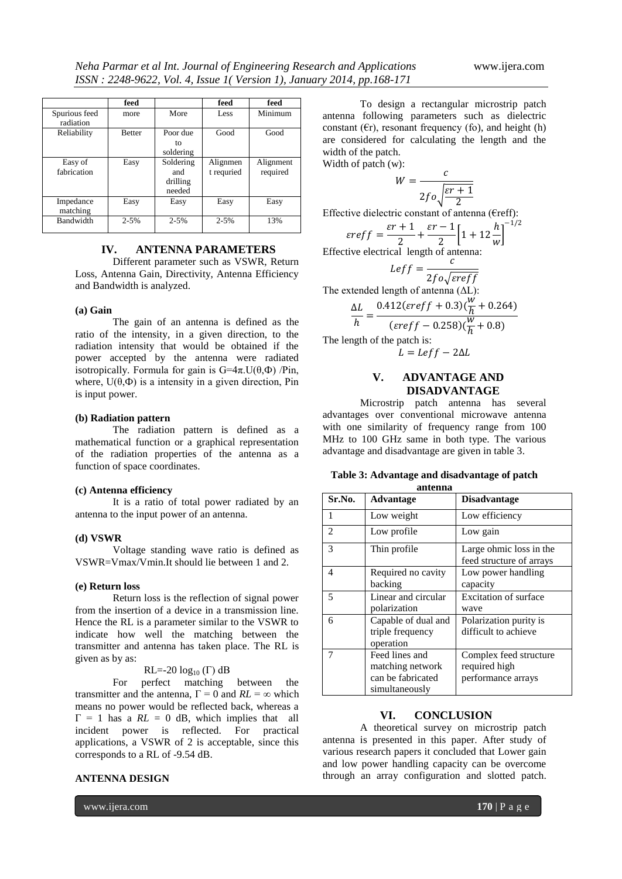|                            | feed          |                                        | feed                   | feed                  |
|----------------------------|---------------|----------------------------------------|------------------------|-----------------------|
| Spurious feed<br>radiation | more          | More                                   | Less                   | Minimum               |
| Reliability                | <b>Better</b> | Poor due<br>tο<br>soldering            | Good                   | Good                  |
| Easy of<br>fabrication     | Easy          | Soldering<br>and<br>drilling<br>needed | Alignmen<br>t requried | Alignment<br>required |
| Impedance<br>matching      | Easy          | Easy                                   | Easy                   | Easy                  |
| Bandwidth                  | $2 - 5%$      | $2 - 5%$                               | $2 - 5%$               | 13%                   |

#### **IV. ANTENNA PARAMETERS**

Different parameter such as VSWR, Return Loss, Antenna Gain, Directivity, Antenna Efficiency and Bandwidth is analyzed.

#### **(a) Gain**

The gain of an antenna is defined as the ratio of the intensity, in a given direction, to the radiation intensity that would be obtained if the power accepted by the antenna were radiated isotropically. Formula for gain is  $G=4\pi$ .  $U(\theta,\Phi)$  /Pin, where,  $U(\theta, \Phi)$  is a intensity in a given direction, Pin is input power.

#### **(b) Radiation pattern**

The radiation pattern is defined as a mathematical function or a graphical representation of the radiation properties of the antenna as a function of space coordinates.

#### **(c) Antenna efficiency**

It is a ratio of total power radiated by an antenna to the input power of an antenna.

#### **(d) VSWR**

Voltage standing wave ratio is defined as VSWR=Vmax/Vmin.It should lie between 1 and 2.

#### **(e) Return loss**

Return loss is the reflection of signal power from the insertion of a device in a transmission line. Hence the RL is a parameter similar to the VSWR to indicate how well the matching between the transmitter and antenna has taken place. The RL is given as by as:

RL=-20  $log_{10}(\Gamma)$  dB

For perfect matching between the transmitter and the antenna,  $\Gamma = 0$  and  $RL = \infty$  which means no power would be reflected back, whereas a  $\Gamma = 1$  has a  $RL = 0$  dB, which implies that all incident power is reflected. For practical applications, a VSWR of 2 is acceptable, since this corresponds to a RL of -9.54 dB.

#### **ANTENNA DESIGN**

www.ijera.com **170** | P a g e

Width of patch (w):

$$
W = \frac{c}{2f\omega\sqrt{\frac{\varepsilon r + 1}{2}}}
$$

Effective dielectric constant of antenna (€reff):

$$
\varepsilon reff = \frac{\varepsilon r + 1}{2} + \frac{\varepsilon r - 1}{2} \left[ 1 + 12 \frac{h}{w} \right]^{-1/2}
$$

Effective electrical length of antenna:  $=$  $\mathcal{C}$ 

$$
LeftJ = \frac{2f\sigma\sqrt{ereff}}{2f\sigma\sqrt{ereff}}
$$
  
The extended length of antenna (AL):  

$$
\frac{\Delta L}{h} = \frac{0.412(ereff + 0.3)(\frac{W}{h} + 0.264)}{(ereff - 0.258)(\frac{W}{h} + 0.8)}
$$

The length of the patch is:

# **V. ADVANTAGE AND DISADVANTAGE**

 $L = Left - 2\Delta L$ 

Microstrip patch antenna has several advantages over conventional microwave antenna with one similarity of frequency range from 100 MHz to 100 GHz same in both type. The various advantage and disadvantage are given in table 3.

| Table 3: Advantage and disadvantage of patch |
|----------------------------------------------|
| antenna                                      |

| Sr.No.         | Advantage                                                                 | <b>Disadvantage</b>                                           |
|----------------|---------------------------------------------------------------------------|---------------------------------------------------------------|
| 1              | Low weight                                                                | Low efficiency                                                |
| $\overline{c}$ | Low profile                                                               | Low gain                                                      |
| 3              | Thin profile                                                              | Large ohmic loss in the<br>feed structure of arrays           |
| 4              | Required no cavity<br>backing                                             | Low power handling<br>capacity                                |
| 5              | Linear and circular<br>polarization                                       | Excitation of surface<br>wave                                 |
| 6              | Capable of dual and<br>triple frequency<br>operation                      | Polarization purity is<br>difficult to achieve                |
|                | Feed lines and<br>matching network<br>can be fabricated<br>simultaneously | Complex feed structure<br>required high<br>performance arrays |

#### **VI. CONCLUSION**

A theoretical survey on microstrip patch antenna is presented in this paper. After study of various research papers it concluded that Lower gain and low power handling capacity can be overcome through an array configuration and slotted patch.